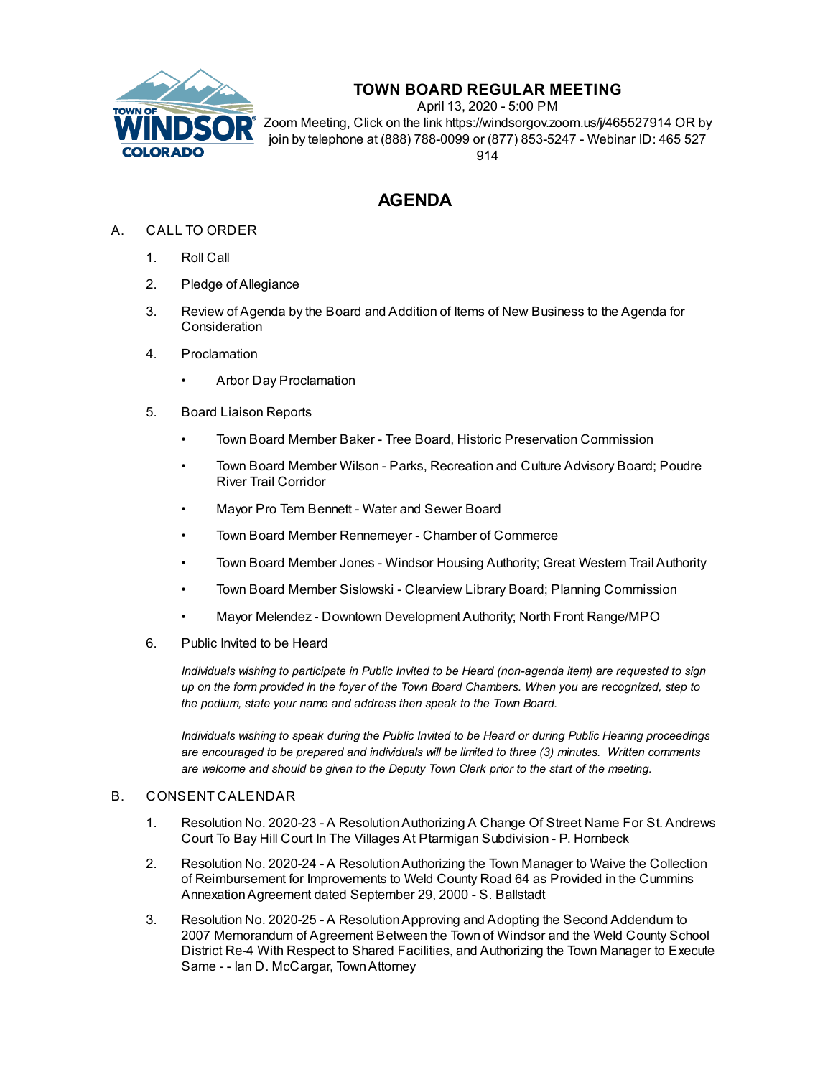

## **TOWN BOARD REGULAR MEETING**

April 13, 2020 - 5:00 PM Zoom Meeting, Click on the link https://windsorgov.zoom.us/j/465527914 OR by join by telephone at (888) 788-0099 or (877) 853-5247 - Webinar ID: 465 527 914

# **AGENDA**

- A. CALL TO ORDER
	- 1. Roll Call
	- 2. Pledge of Allegiance
	- 3. Review of Agenda by the Board and Addition of Items of New Business to the Agenda for **Consideration**
	- 4. Proclamation
		- Arbor Day [Proclamation](file:///C:/Windows/TEMP/CoverSheet.aspx?ItemID=758&MeetingID=123)
	- 5. Board Liaison Reports
		- Town Board Member Baker Tree Board, Historic Preservation Commission
		- Town Board Member Wilson Parks, Recreation and Culture Advisory Board; Poudre River Trail Corridor
		- Mayor Pro Tem Bennett Water and Sewer Board
		- Town Board Member Rennemeyer Chamber of Commerce
		- Town Board Member Jones Windsor Housing Authority; Great Western Trail Authority
		- Town Board Member Sislowski Clearview Library Board; Planning Commission
		- Mayor Melendez Downtown Development Authority; North Front Range/MPO
	- 6. Public Invited to be Heard

*Individuals wishing to participate in Public Invited to be Heard (non-agenda item) are requested to sign* up on the form provided in the foyer of the Town Board Chambers. When you are recognized, step to *the podium, state your name and address then speak to the Town Board.*

*Individuals wishing to speak during the Public Invited to be Heard or during Public Hearing proceedings are encouraged to be prepared and individuals will be limited to three (3) minutes. Written comments are welcome and should be given to the Deputy Town Clerk prior to the start of the meeting.*

### B. CONSENT CALENDAR

- 1. Resolution No. 2020-23 A [ResolutionAuthorizing](file:///C:/Windows/TEMP/CoverSheet.aspx?ItemID=809&MeetingID=123) A Change Of Street Name For St. Andrews Court To Bay Hill Court In The Villages At Ptarmigan Subdivision - P. Hornbeck
- 2. Resolution No. 2020-24 A [ResolutionAuthorizing](file:///C:/Windows/TEMP/CoverSheet.aspx?ItemID=821&MeetingID=123) the Town Manager to Waive the Collection of Reimbursement for Improvements to Weld County Road 64 as Provided in the Cummins AnnexationAgreement dated September 29, 2000 - S. Ballstadt
- 3. Resolution No. 2020-25 A [ResolutionApproving](file:///C:/Windows/TEMP/CoverSheet.aspx?ItemID=828&MeetingID=123) and Adopting the Second Addendum to 2007 Memorandum of Agreement Between the Town of Windsor and the Weld County School District Re-4 With Respect to Shared Facilities, and Authorizing the Town Manager to Execute Same - - Ian D. McCargar, TownAttorney